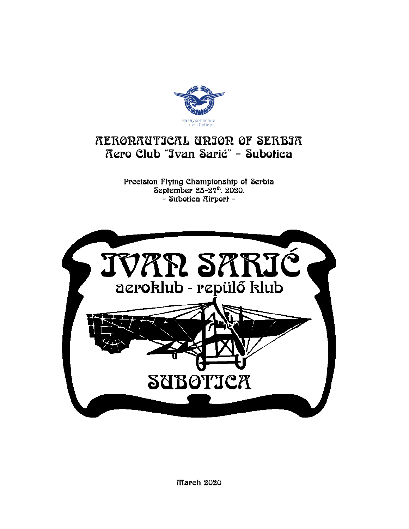

### RERORRUTICRL URIOR OF SERBIR Rero Club "Jvan Sarić" - Subofica

Precision Flying Championship of Serbia September 25-27th. 2020. - Subotica Rirport -



March 2020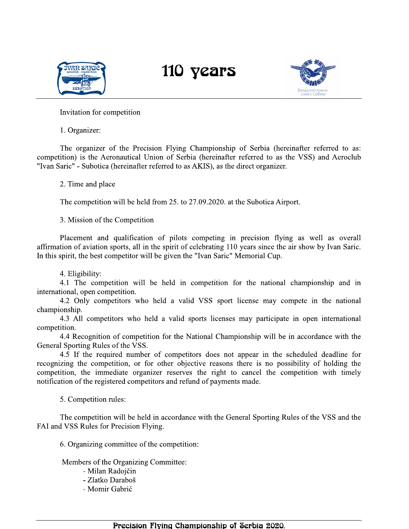



Invitation for competition

1. Organizer:

The organizer of the Precision Flying Championship of Serbia (hereinafter referred to as: competition) is the Aeronautical Union of Serbia (hereinafter referred to as the VSS) and Aeroclub "Ivan Saric" - Subotica (hereinafter referred to as AKIS), as the direct organizer.

2. Time and place

The competition will be held from 25. to 27.09.2020. at the Subotica Airport.

3. Mission of the Competition

Placement and qualification of pilots competing in precision flying as well as overall affirmation of aviation sports, all in the spirit of celebrating 110 years since the air show by Ivan Saric. In this spirit, the best competitor will be given the "Ivan Saric" Memorial Cup.

4. Eligibility:

4.1 The competition will be held in competition for the national championship and in international, open competition.

4.2 Only competitors who held a valid VSS sport license may compete in the national championship.

4.3 All competitors who held a valid sports licenses may participate in open international competition.

4.4 Recognition of competition for the National Championship will be in accordance with the General Sporting Rules of the VSS.

4.5 If the required number of competitors does not appear in the scheduled deadline for recognizing the competition, or for other objective reasons there is no possibility of holding the competition, the immediate organizer reserves the right to cancel the competition with timely notification of the registered competitors and refund of payments made.

5. Competition rules:

The competition will be held in accordance with the General Sporting Rules of the VSS and the FAI and VSS Rules for Precision Flying.

6. Organizing committee of the competition:

Members of the Organizing Committee:

- Milan Radojčin - Zlatko Daraboš - Momir Gabrić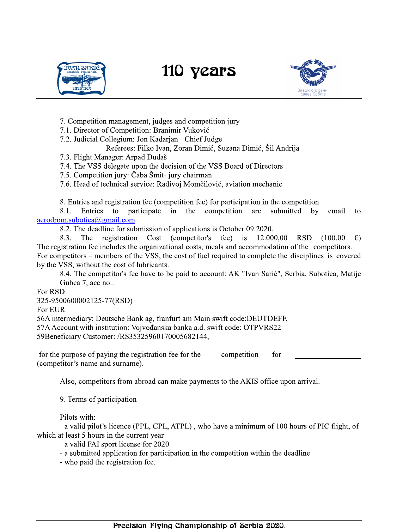



7. Competition management, judges and competition jury

7.1. Director of Competition: Branimir Vuković

7.2. Judicial Collegium: Jon Kadarjan - Chief Judge

Referees: Filko Ivan, Zoran Dimić, Suzana Dimić, Šil Andrija

7.3. Flight Manager: Arpad Dudaš

7.4. The VSS delegate upon the decision of the VSS Board of Directors

7.5. Competition jury: Čaba Šmit- jury chairman

7.6. Head of technical service: Radivoj Momčilović, aviation mechanic

8. Entries and registration fee (competition fee) for participation in the competition

Entries to participate  $in$ the competition submitted by 8.1. are email to  $a$ erodrom.subotica@gmail.com

8.2. The deadline for submission of applications is October 09.2020.

Cost (competitor's 8.3. The registration fee) is 12.000,00 **RSD**  $(100.00)$  $\epsilon$ The registration fee includes the organizational costs, meals and accommodation of the competitors. For competitors – members of the VSS, the cost of fuel required to complete the disciplines is covered by the VSS, without the cost of lubricants.

8.4. The competitor's fee have to be paid to account: AK "Ivan Sarić", Serbia, Subotica, Matije Gubca 7, acc no.:

For RSD

325-9500600002125-77(RSD)

For EUR

56A intermediary: Deutsche Bank ag, franfurt am Main swift code: DEUTDEFF, 57A Account with institution: Vojvođanska banka a.d. swift code: OTPVRS22 59Beneficiary Customer: /RS35325960170005682144,

for the purpose of paying the registration fee for the competition for (competitor's name and surname).

Also, competitors from abroad can make payments to the AKIS office upon arrival.

9. Terms of participation

Pilots with:

- a valid pilot's licence (PPL, CPL, ATPL), who have a minimum of 100 hours of PIC flight, of which at least 5 hours in the current year

- a valid FAI sport license for 2020

- a submitted application for participation in the competition within the deadline

- who paid the registration fee.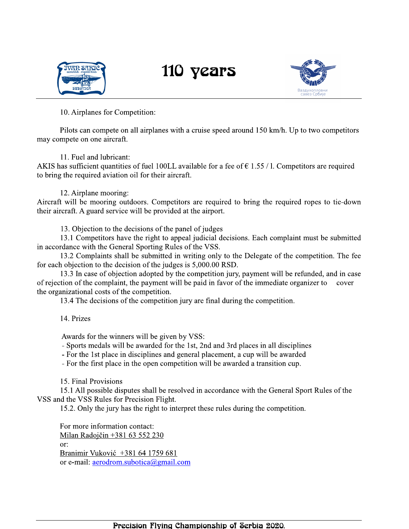



10. Airplanes for Competition:

Pilots can compete on all airplanes with a cruise speed around 150 km/h. Up to two competitors may compete on one aircraft.

#### 11. Fuel and lubricant:

AKIS has sufficient quantities of fuel 100LL available for a fee of  $\epsilon$  1.55 / 1. Competitors are required to bring the required aviation oil for their aircraft.

#### 12. Airplane mooring:

Aircraft will be mooring outdoors. Competitors are required to bring the required ropes to tie-down their aircraft. A guard service will be provided at the airport.

13. Objection to the decisions of the panel of judges

13.1 Competitors have the right to appeal judicial decisions. Each complaint must be submitted in accordance with the General Sporting Rules of the VSS.

13.2 Complaints shall be submitted in writing only to the Delegate of the competition. The fee for each objection to the decision of the judges is 5,000.00 RSD.

13.3 In case of objection adopted by the competition jury, payment will be refunded, and in case of rejection of the complaint, the payment will be paid in favor of the immediate organizer to cover the organizational costs of the competition.

13.4 The decisions of the competition jury are final during the competition.

14. Prizes

Awards for the winners will be given by VSS:

- Sports medals will be awarded for the 1st, 2nd and 3rd places in all disciplines

- For the 1st place in disciplines and general placement, a cup will be awarded

- For the first place in the open competition will be awarded a transition cup.

15. Final Provisions

15.1 All possible disputes shall be resolved in accordance with the General Sport Rules of the VSS and the VSS Rules for Precision Flight.

15.2. Only the jury has the right to interpret these rules during the competition.

For more information contact: Milan Radojčin +381 63 552 230 or: Branimir Vuković +381 64 1759 681 or e-mail: aerodrom.subotica@gmail.com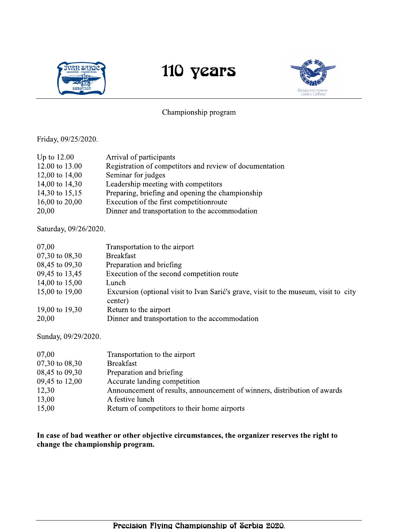



#### Championship program

Friday, 09/25/2020.

| Up to $12.00$  | Arrival of participants                                 |
|----------------|---------------------------------------------------------|
| 12.00 to 13.00 | Registration of competitors and review of documentation |
| 12,00 to 14,00 | Seminar for judges                                      |
| 14,00 to 14,30 | Leadership meeting with competitors                     |
| 14,30 to 15,15 | Preparing, briefing and opening the championship        |
| 16,00 to 20,00 | Execution of the first competition route                |
| 20,00          | Dinner and transportation to the accommodation          |

Saturday, 09/26/2020.

| 07,00          | Transportation to the airport                                                                  |
|----------------|------------------------------------------------------------------------------------------------|
| 07,30 to 08,30 | <b>Breakfast</b>                                                                               |
| 08,45 to 09,30 | Preparation and briefing                                                                       |
| 09,45 to 13,45 | Execution of the second competition route                                                      |
| 14,00 to 15,00 | Lunch                                                                                          |
| 15,00 to 19,00 | Excursion (optional visit to Ivan Sarić's grave, visit to the museum, visit to city<br>center) |
| 19,00 to 19,30 | Return to the airport                                                                          |
| 20,00          | Dinner and transportation to the accommodation                                                 |

Sunday, 09/29/2020.

| 07,00          | Transportation to the airport                                            |
|----------------|--------------------------------------------------------------------------|
| 07,30 to 08,30 | <b>Breakfast</b>                                                         |
| 08,45 to 09,30 | Preparation and briefing                                                 |
| 09,45 to 12,00 | Accurate landing competition                                             |
| 12,30          | Announcement of results, announcement of winners, distribution of awards |
| 13,00          | A festive lunch                                                          |
| 15,00          | Return of competitors to their home airports                             |

In case of bad weather or other objective circumstances, the organizer reserves the right to change the championship program.